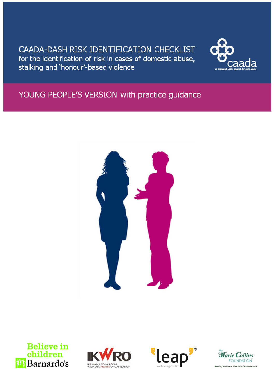## CAADA-DASH RISK IDENTIFICATION CHECKLIST for the identification of risk in cases of domestic abuse, stalking and 'honour'-based violence



# YOUNG PEOPLE'S VERSION with practice guidance









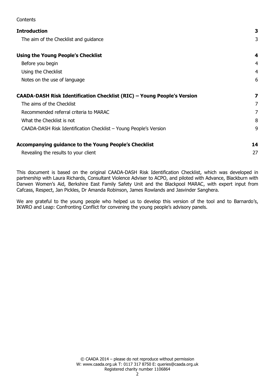| CULTERIS                                                                |    |
|-------------------------------------------------------------------------|----|
| <b>Introduction</b>                                                     | 3  |
| The aim of the Checklist and guidance                                   | 3  |
| <b>Using the Young People's Checklist</b>                               | 4  |
| Before you begin                                                        | 4  |
| Using the Checklist                                                     | 4  |
| Notes on the use of language                                            | 6  |
| CAADA-DASH Risk Identification Checklist (RIC) - Young People's Version | 7  |
| The aims of the Checklist                                               | 7  |
| Recommended referral criteria to MARAC                                  | 7  |
| What the Checklist is not                                               | 8  |
| CAADA-DASH Risk Identification Checklist - Young People's Version       | 9  |
| Accompanying guidance to the Young People's Checklist                   | 14 |
| Revealing the results to your client                                    | 27 |

 $Contone$ 

This document is based on the original CAADA-DASH Risk Identification Checklist, which was developed in partnership with Laura Richards, Consultant Violence Adviser to ACPO, and piloted with Advance, Blackburn with Darwen Women's Aid, Berkshire East Family Safety Unit and the Blackpool MARAC, with expert input from Cafcass, Respect, Jan Pickles, Dr Amanda Robinson, James Rowlands and Jasvinder Sanghera.

We are grateful to the young people who helped us to develop this version of the tool and to Barnardo's, IKWRO and Leap: Confronting Conflict for convening the young people's advisory panels.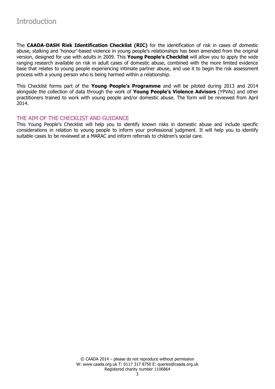<span id="page-2-0"></span>The **CAADA-DASH Risk Identification Checklist (RIC)** for the identification of risk in cases of domestic abuse, stalking and 'honour'-based violence in young people's relationships has been amended from the original version, designed for use with adults in 2009. This **Young People's Checklist** will allow you to apply the wide ranging research available on risk in adult cases of domestic abuse, combined with the more limited evidence base that relates to young people experiencing intimate partner abuse, and use it to begin the risk assessment process with a young person who is being harmed within a relationship.

This Checklist forms part of the **Young People's Programme** and will be piloted during 2013 and 2014 alongside the collection of data through the work of **Young People's Violence Advisors** (YPVAs) and other practitioners trained to work with young people and/or domestic abuse. The form will be reviewed from April 2014.

## <span id="page-2-1"></span>THE AIM OF THE CHECKLIST AND GUIDANCE

This Young People's Checklist will help you to identify known risks in domestic abuse and include specific considerations in relation to young people to inform your professional judgment. It will help you to identify suitable cases to be reviewed at a MARAC and inform referrals to children's social care.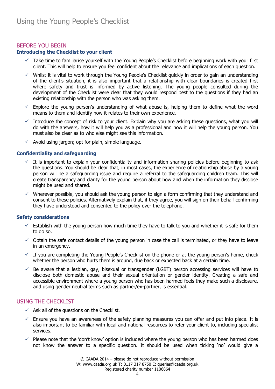## <span id="page-3-1"></span><span id="page-3-0"></span>BEFORE YOU BEGIN

## **Introducing the Checklist to your client**

- $\checkmark$  Take time to familiarise yourself with the Young People's Checklist before beginning work with your first client. This will help to ensure you feel confident about the relevance and implications of each question.
- $\checkmark$  Whilst it is vital to work through the Young People's Checklist quickly in order to gain an understanding of the client's situation, it is also important that a relationship with clear boundaries is created first where safety and trust is informed by active listening. The young people consulted during the development of the Checklist were clear that they would respond best to the questions if they had an existing relationship with the person who was asking them.
- $\checkmark$  Explore the young person's understanding of what abuse is, helping them to define what the word means to them and identify how it relates to their own experience.
- Introduce the concept of risk to your client. Explain why you are asking these questions, what you will do with the answers, how it will help you as a professional and how it will help the young person. You must also be clear as to who else might see this information.
- $\checkmark$  Avoid using jargon; opt for plain, simple language.

#### **Confidentiality and safeguarding**

- $\checkmark$  It is important to explain your confidentiality and information sharing policies before beginning to ask the questions. You should be clear that, in most cases, the experience of relationship abuse by a young person will be a safeguarding issue and require a referral to the safeguarding children team. This will create transparency and clarity for the young person about how and when the information they disclose might be used and shared.
- $\checkmark$  Wherever possible, you should ask the young person to sign a form confirming that they understand and consent to these policies. Alternatively explain that, if they agree, you will sign on their behalf confirming they have understood and consented to the policy over the telephone.

#### **Safety considerations**

- $\checkmark$  Establish with the young person how much time they have to talk to you and whether it is safe for them to do so.
- $\check{\phantom{\phi}}$  Obtain the safe contact details of the young person in case the call is terminated, or they have to leave in an emergency.
- $\checkmark$  If you are completing the Young People's Checklist on the phone or at the young person's home, check whether the person who hurts them is around, due back or expected back at a certain time.
- $\checkmark$  Be aware that a lesbian, gay, bisexual or transgender (LGBT) person accessing services will have to disclose both domestic abuse and their sexual orientation or gender identity. Creating a safe and accessible environment where a young person who has been harmed feels they make such a disclosure, and using gender neutral terms such as partner/ex-partner, is essential.

## <span id="page-3-2"></span>USING THE CHECKLIST

- $\checkmark$  Ask all of the questions on the Checklist.
- $\checkmark$  Ensure you have an awareness of the safety planning measures you can offer and put into place. It is also important to be familiar with local and national resources to refer your client to, including specialist services.
- $\checkmark$  Please note that the 'don't know' option is included where the young person who has been harmed does not know the answer to a specific question. It should be used when ticking 'no' would give a

© CAADA 2014 – please do not reproduce without permission W: www.caada.org.uk T: 0117 317 8750 E: queries@caada.org.uk Registered charity number 1106864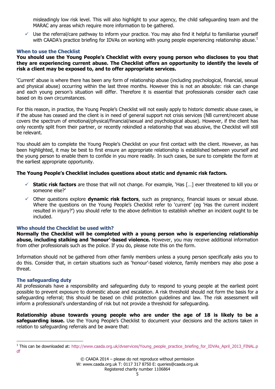misleadingly low risk level. This will also highlight to your agency, the child safeguarding team and the MARAC any areas which require more information to be gathered.

 $\checkmark$  Use the referral/care pathway to inform your practice. You may also find it helpful to familiarise yourself with CAADA's practice briefing for IDVAs on working with young people experiencing relationship abuse.<sup>1</sup>

#### **When to use the Checklist**

#### **You should use the Young People's Checklist with every young person who discloses to you that they are experiencing current abuse. The Checklist offers an opportunity to identify the levels of risk a client may be exposed to, and to offer appropriate services.**

'Current' abuse is where there has been any form of relationship abuse (including psychological, financial, sexual and physical abuse) occurring within the last three months. However this is not an absolute: risk can change and each young person's situation will differ. Therefore it is essential that professionals consider each case based on its own circumstances.

For this reason, in practice, the Young People's Checklist will not easily apply to historic domestic abuse cases, ie if the abuse has ceased and the client is in need of general support not crisis services (NB current/recent abuse covers the spectrum of emotional/physical/financial/sexual and psychological abuse). However, if the client has only recently split from their partner, or recently rekindled a relationship that was abusive, the Checklist will still be relevant.

You should aim to complete the Young People's Checklist on your first contact with the client. However, as has been highlighted, it may be best to first ensure an appropriate relationship is established between yourself and the young person to enable them to confide in you more readily. In such cases, be sure to complete the form at the earliest appropriate opportunity.

## **The Young People's Checklist includes questions about static and dynamic risk factors.**

- **Static risk factors** are those that will not change. For example, 'Has […] ever threatened to kill you or someone else?'
- Other questions explore **dynamic risk factors**, such as pregnancy, financial issues or sexual abuse. Where the questions on the Young People's Checklist refer to 'current' (eg 'Has the current incident resulted in injury?') you should refer to the above definition to establish whether an incident ought to be included.

## **Who should the Checklist be used with?**

**Normally the Checklist will be completed with a young person who is experiencing relationship abuse, including stalking and 'honour'-based violence.** However, you may receive additional information from other professionals such as the police. If you do, please note this on the form.

Information should not be gathered from other family members unless a young person specifically asks you to do this. Consider that, in certain situations such as 'honour'-based violence, family members may also pose a threat.

#### **The safeguarding duty**

All professionals have a responsibility and safeguarding duty to respond to young people at the earliest point possible to prevent exposure to domestic abuse and escalation. A risk threshold should not form the basis for a safeguarding referral; this should be based on child protection guidelines and law. The risk assessment will inform a professional's understanding of risk but not provide a threshold for safeguarding.

**Relationship abuse towards young people who are under the age of 18 is likely to be a safeguarding issue.** Use the Young People's Checklist to document your decisions and the actions taken in relation to safeguarding referrals and be aware that:

<sup>&</sup>lt;sup>1</sup> This can be downloaded at: [http://www.caada.org.uk/dvservices/Young\\_people\\_practice\\_briefing\\_for\\_IDVAs\\_April\\_2013\\_FINAL.p](http://www.caada.org.uk/dvservices/Young_people_practice_briefing_for_IDVAs_April_2013_FINAL.pdf) [df](http://www.caada.org.uk/dvservices/Young_people_practice_briefing_for_IDVAs_April_2013_FINAL.pdf)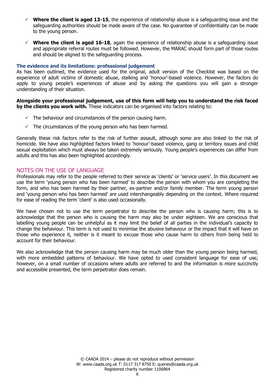- $\checkmark$  Where the client is aged 13-15, the experience of relationship abuse is a safeguarding issue and the safeguarding authorities should be made aware of the case. No guarantee of confidentiality can be made to the young person.
- $\checkmark$  Where the client is aged 16-18, again the experience of relationship abuse is a safeguarding issue and appropriate referral routes must be followed. However, the MARAC should form part of those routes and should be aligned to the safeguarding process.

#### **The evidence and its limitations: professional judgement**

As has been outlined, the evidence used for the original, adult version of the Checklist was based on the experience of adult victims of domestic abuse, stalking and 'honour'-based violence. However, the factors do apply to young people's experiences of abuse and by asking the questions you will gain a stronger understanding of their situation.

#### **Alongside your professional judgement, use of this form will help you to understand the risk faced by the clients you work with.** These indicators can be organised into factors relating to:

- $\checkmark$  The behaviour and circumstances of the person causing harm.
- $\checkmark$  The circumstances of the young person who has been harmed.

Generally these risk factors refer to the risk of further assault, although some are also linked to the risk of homicide. We have also highlighted factors linked to 'honour'-based violence, gang or territory issues and child sexual exploitation which must always be taken extremely seriously. Young people's experiences can differ from adults and this has also been highlighted accordingly.

## <span id="page-5-0"></span>NOTES ON THE USE OF LANGUAGE

Professionals may refer to the people referred to their service as 'clients' or 'service users'. In this document we use the term 'young person who has been harmed' to describe the person with whom you are completing the form, and who has been harmed by their partner, ex-partner and/or family member. The term young person and 'young person who has been harmed' are used interchangeably depending on the context. Where required for ease of reading the term 'client' is also used occasionally.

We have chosen not to use the term perpetrator to describe the person who is causing harm; this is to acknowledge that the person who is causing the harm may also be under eighteen. We are conscious that labelling young people can be unhelpful as it may limit the belief of all parties in the individual's capacity to change the behaviour. This term is not used to minimise the abusive behaviour or the impact that it will have on those who experience it, neither is it meant to excuse those who cause harm to others from being held to account for their behaviour.

We also acknowledge that the person causing harm may be much older than the young person being harmed, with more embedded patterns of behaviour. We have opted to used consistent language for ease of use; however, on a small number of occasions where adults are referred to and the information is more succinctly and accessible presented, the term perpetrator does remain.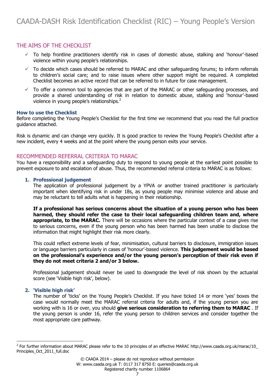## <span id="page-6-1"></span><span id="page-6-0"></span>THE AIMS OF THE CHECKLIST

- $\checkmark$  To help frontline practitioners identify risk in cases of domestic abuse, stalking and 'honour'-based violence within young people's relationships.
- $\checkmark$  To decide which cases should be referred to MARAC and other safeguarding forums; to inform referrals to children's social care; and to raise issues where other support might be required. A completed Checklist becomes an active record that can be referred to in future for case management.
- $\checkmark$  To offer a common tool to agencies that are part of the MARAC or other safeguarding processes, and provide a shared understanding of risk in relation to domestic abuse, stalking and 'honour'-based violence in young people's relationships.<sup>2</sup>

#### **How to use the Checklist**

Before completing the Young People's Checklist for the first time we recommend that you read the full practice guidance attached.

Risk is dynamic and can change very quickly. It is good practice to review the Young People's Checklist after a new incident, every 4 weeks and at the point where the young person exits your service.

## <span id="page-6-2"></span>RECOMMENDED REFERRAL CRITERIA TO MARAC

You have a responsibility and a safeguarding duty to respond to young people at the earliest point possible to prevent exposure to and escalation of abuse. Thus, the recommended referral criteria to MARAC is as follows:

#### **1. Professional judgement**

The application of professional judgement by a YPVA or another trained practitioner is particularly important when identifying risk in under 18s, as young people may minimise violence and abuse and may be reluctant to tell adults what is happening in their relationship.

**If a professional has serious concerns about the situation of a young person who has been harmed, they should refer the case to their local safeguarding children team and, where appropriate, to the MARAC.** There will be occasions where the particular context of a case gives rise to serious concerns, even if the young person who has been harmed has been unable to disclose the information that might highlight their risk more clearly.

This could reflect extreme levels of fear, minimisation, cultural barriers to disclosure, immigration issues or language barriers particularly in cases of 'honour'-based violence. **This judgement would be based on the professional's experience and/or the young person's perception of their risk even if they do not meet criteria 2 and/or 3 below.** 

Professional judgement should never be used to downgrade the level of risk shown by the actuarial score (see 'Visible high risk', below).

## **2. 'Visible high risk'**

The number of 'ticks' on the Young People's Checklist. If you have ticked 14 or more 'yes' boxes the case would normally meet the MARAC referral criteria for adults and, if the young person you are working with is 16 or over, you should **give serious consideration to referring them to MARAC** . If the young person is under 16, refer the young person to children services and consider together the most appropriate care pathway.

<sup>&</sup>lt;sup>2</sup> For further information about MARAC please refer to the 10 principles of an effective MARAC [http://www.caada.org.uk/marac/10\\_](http://www.caada.org.uk/marac/10_Principles_Oct_2011_full.doc) [Principles\\_Oct\\_2011\\_full.doc](http://www.caada.org.uk/marac/10_Principles_Oct_2011_full.doc)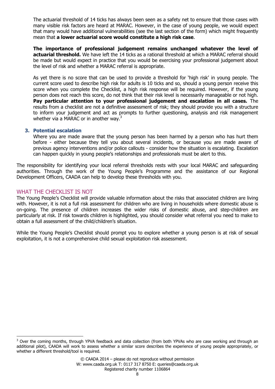The actuarial threshold of 14 ticks has always been seen as a safety net to ensure that those cases with many visible risk factors are heard at MARAC. However, in the case of young people, we would expect that many would have additional vulnerabilities (see the last section of the form) which might frequently mean that **a lower actuarial score would constitute a high risk case**.

**The importance of professional judgement remains unchanged whatever the level of actuarial threshold.** We have left the 14 ticks as a rational threshold at which a MARAC referral should be made but would expect in practice that you would be exercising your professional judgement about the level of risk and whether a MARAC referral is appropriate.

As yet there is no score that can be used to provide a threshold for 'high risk' in young people. The current score used to describe high risk for adults is 10 ticks and so, should a young person receive this score when you complete the Checklist, a high risk response will be required. However, if the young person does not reach this score, do not think that their risk level is necessarily manageable or not high. **Pay particular attention to your professional judgement and escalation in all cases.** The results from a checklist are not a definitive assessment of risk; they should provide you with a structure to inform your judgement and act as prompts to further questioning, analysis and risk management whether via a MARAC or in another way.<sup>3</sup>

#### **3. Potential escalation**

Where you are made aware that the young person has been harmed by a person who has hurt them before - either because they tell you about several incidents, or because you are made aware of previous agency interventions and/or police callouts - consider how the situation is escalating. Escalation can happen quickly in young people's relationships and professionals must be alert to this.

The responsibility for identifying your local referral thresholds rests with your local MARAC and safeguarding authorities. Through the work of the Young People's Programme and the assistance of our Regional Development Officers, CAADA can help to develop these thresholds with you.

## <span id="page-7-0"></span>WHAT THE CHECKLIST IS NOT

The Young People's Checklist will provide valuable information about the risks that associated children are living with. However, it is not a full risk assessment for children who are living in households where domestic abuse is on-going. The presence of children increases the wider risks of domestic abuse, and step-children are particularly at risk. If risk towards children is highlighted, you should consider what referral you need to make to obtain a full assessment of the child/children's situation.

While the Young People's Checklist should prompt you to explore whether a young person is at risk of sexual exploitation, it is not a comprehensive child sexual exploitation risk assessment.

 $3$  Over the coming months, through YPVA feedback and data collection (from both YPVAs who are case working and through an additional pilot), CAADA will work to assess whether a similar score describes the experience of young people appropriately, or whether a different threshold/tool is required.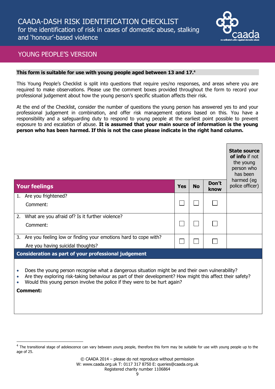

## <span id="page-8-0"></span>YOUNG PEOPLE'S VERSION

#### **This form is suitable for use with young people aged between 13 and 17. 4**

This Young People's Checklist is split into questions that require yes/no responses, and areas where you are required to make observations. Please use the comment boxes provided throughout the form to record your professional judgement about how the young person's specific situation affects their risk.

At the end of the Checklist, consider the number of questions the young person has answered yes to and your professional judgement in combination, and offer risk management options based on this. You have a responsibility and a safeguarding duty to respond to young people at the earliest point possible to prevent exposure to and escalation of abuse. **It is assumed that your main source of information is the young person who has been harmed. If this is not the case please indicate in the right hand column.**

|           |                                                                                                                                                                                                                                                                                                         |     |           |               | <b>State source</b><br>of info if not<br>the young<br>person who<br>has been |  |
|-----------|---------------------------------------------------------------------------------------------------------------------------------------------------------------------------------------------------------------------------------------------------------------------------------------------------------|-----|-----------|---------------|------------------------------------------------------------------------------|--|
|           | <b>Your feelings</b>                                                                                                                                                                                                                                                                                    | Yes | <b>No</b> | Don't<br>know | harmed (eg<br>police officer)                                                |  |
| 1.        | Are you frightened?                                                                                                                                                                                                                                                                                     |     |           |               |                                                                              |  |
|           | Comment:                                                                                                                                                                                                                                                                                                |     |           |               |                                                                              |  |
| 2.        | What are you afraid of? Is it further violence?                                                                                                                                                                                                                                                         |     |           |               |                                                                              |  |
|           | Comment:                                                                                                                                                                                                                                                                                                |     |           |               |                                                                              |  |
|           | 3. Are you feeling low or finding your emotions hard to cope with?                                                                                                                                                                                                                                      |     |           |               |                                                                              |  |
|           | Are you having suicidal thoughts?                                                                                                                                                                                                                                                                       |     |           |               |                                                                              |  |
|           | <b>Consideration as part of your professional judgement</b>                                                                                                                                                                                                                                             |     |           |               |                                                                              |  |
| $\bullet$ | Does the young person recognise what a dangerous situation might be and their own vulnerability?<br>Are they exploring risk-taking behaviour as part of their development? How might this affect their safety?<br>Would this young person involve the police if they were to be hurt again?<br>Comment: |     |           |               |                                                                              |  |

 $^4$  The transitional stage of adolescence can vary between young people, therefore this form may be suitable for use with young people up to the age of 25.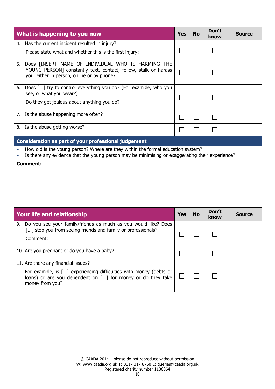|    | What is happening to you now                                                                                                                                                               | <b>Yes</b> | <b>No</b> | Don't<br>know | <b>Source</b> |
|----|--------------------------------------------------------------------------------------------------------------------------------------------------------------------------------------------|------------|-----------|---------------|---------------|
|    | 4. Has the current incident resulted in injury?                                                                                                                                            |            |           |               |               |
|    | Please state what and whether this is the first injury:                                                                                                                                    |            |           |               |               |
|    | 5. Does [INSERT NAME OF INDIVIDUAL WHO IS HARMING THE<br>YOUNG PERSON] constantly text, contact, follow, stalk or harass<br>you, either in person, online or by phone?                     |            |           |               |               |
| 6. | Does [] try to control everything you do? (For example, who you<br>see, or what you wear?)                                                                                                 |            |           |               |               |
|    | Do they get jealous about anything you do?                                                                                                                                                 |            |           |               |               |
|    | 7. Is the abuse happening more often?                                                                                                                                                      |            |           |               |               |
|    | 8. Is the abuse getting worse?                                                                                                                                                             |            |           |               |               |
|    | <b>Consideration as part of your professional judgement</b>                                                                                                                                |            |           |               |               |
|    | Is there any evidence that the young person may be minimising or exaggerating their experience?<br><b>Comment:</b>                                                                         |            |           |               |               |
|    | Your life and relationship                                                                                                                                                                 | <b>Yes</b> | <b>No</b> | Don't<br>know | <b>Source</b> |
|    | 9. Do you see your family/friends as much as you would like? Does<br>[] stop you from seeing friends and family or professionals?<br>Comment:                                              | □          | $\Box$    |               |               |
|    | 10. Are you pregnant or do you have a baby?                                                                                                                                                |            |           |               |               |
|    | 11. Are there any financial issues?<br>For example, is [] experiencing difficulties with money (debts or<br>loans) or are you dependent on [] for money or do they take<br>money from you? |            |           |               |               |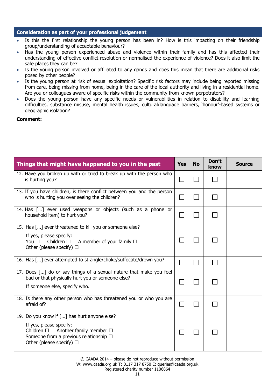## **Consideration as part of your professional judgement**

- Is this the first relationship the young person has been in? How is this impacting on their friendship group/understanding of acceptable behaviour?
- Has the young person experienced abuse and violence within their family and has this affected their understanding of effective conflict resolution or normalised the experience of violence? Does it also limit the safe places they can be?
- Is the young person involved or affiliated to any gangs and does this mean that there are additional risks posed by other people?
- Is the young person at risk of sexual exploitation? Specific risk factors may include being reported missing from care, being missing from home, being in the care of the local authority and living in a residential home. Are you or colleagues aware of specific risks within the community from known perpetrators?
- Does the young person have any specific needs or vulnerabilities in relation to disability and learning difficulties, substance misuse, mental health issues, cultural/language barriers, 'honour'-based systems or geographic isolation?

#### **Comment:**

| Things that might have happened to you in the past                                                                                                                                                           | <b>Yes</b> | <b>No</b> | Don't<br>know | <b>Source</b> |
|--------------------------------------------------------------------------------------------------------------------------------------------------------------------------------------------------------------|------------|-----------|---------------|---------------|
| 12. Have you broken up with or tried to break up with the person who<br>is hurting you?                                                                                                                      |            |           |               |               |
| 13. If you have children, is there conflict between you and the person<br>who is hurting you over seeing the children?                                                                                       |            |           |               |               |
| 14. Has [] ever used weapons or objects (such as a phone or<br>household item) to hurt you?                                                                                                                  |            |           |               |               |
| 15. Has [] ever threatened to kill you or someone else?<br>If yes, please specify:<br>You $\square$<br>Children $\square$<br>A member of your family $\Box$<br>Other (please specify) $\Box$                 |            |           |               |               |
| 16. Has [] ever attempted to strangle/choke/suffocate/drown you?                                                                                                                                             |            |           |               |               |
| 17. Does [] do or say things of a sexual nature that make you feel<br>bad or that physically hurt you or someone else?<br>If someone else, specify who.                                                      |            |           |               |               |
| 18. Is there any other person who has threatened you or who you are<br>afraid of?                                                                                                                            |            |           |               |               |
| 19. Do you know if [] has hurt anyone else?<br>If yes, please specify:<br>Another family member $\Box$<br>Children $\square$<br>Someone from a previous relationship $\Box$<br>Other (please specify) $\Box$ |            |           |               |               |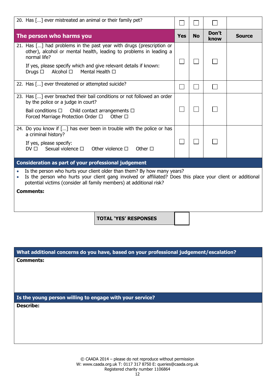| 20. Has [] ever mistreated an animal or their family pet?                                                                                                                                                                                                                                     |            |           |               |               |
|-----------------------------------------------------------------------------------------------------------------------------------------------------------------------------------------------------------------------------------------------------------------------------------------------|------------|-----------|---------------|---------------|
| The person who harms you                                                                                                                                                                                                                                                                      | <b>Yes</b> | <b>No</b> | Don't<br>know | <b>Source</b> |
| 21. Has [] had problems in the past year with drugs (prescription or<br>other), alcohol or mental health, leading to problems in leading a<br>normal life?<br>If yes, please specify which and give relevant details if known:<br>Mental Health □<br>Alcohol □<br>Drugs $\Box$                |            |           |               |               |
| 22. Has [] ever threatened or attempted suicide?                                                                                                                                                                                                                                              |            |           |               |               |
| 23. Has [] ever breached their bail conditions or not followed an order<br>by the police or a judge in court?<br>Bail conditions $\square$<br>Child contact arrangements $\Box$<br>Forced Marriage Protection Order $\Box$ Other $\Box$                                                       |            |           |               |               |
| 24. Do you know if [] has ever been in trouble with the police or has<br>a criminal history?<br>If yes, please specify:<br>$DV \Box$ Sexual violence $\Box$ Other violence $\Box$<br>Other $\Box$                                                                                             |            |           |               |               |
| <b>Consideration as part of your professional judgement</b>                                                                                                                                                                                                                                   |            |           |               |               |
| Is the person who hurts your client older than them? By how many years?<br>Is the person who hurts your client gang involved or affiliated? Does this place your client or additional<br>$\bullet$<br>potential victims (consider all family members) at additional risk?<br><b>Comments:</b> |            |           |               |               |
| <b>TOTAL 'YES' RESPONSES</b>                                                                                                                                                                                                                                                                  |            |           |               |               |

**What additional concerns do you have, based on your professional judgement/escalation?**

**Comments:**

**Is the young person willing to engage with your service?**

**Describe:**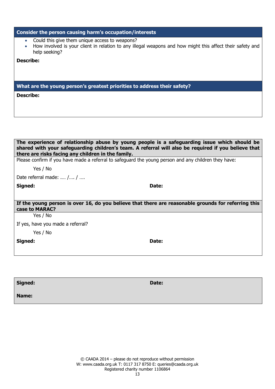| Consider the person causing harm's occupation/interests                                                                                                                                                |
|--------------------------------------------------------------------------------------------------------------------------------------------------------------------------------------------------------|
| Could this give them unique access to weapons?<br>$\bullet$<br>How involved is your client in relation to any illegal weapons and how might this affect their safety and<br>$\bullet$<br>help seeking? |
| <b>Describe:</b>                                                                                                                                                                                       |
|                                                                                                                                                                                                        |
|                                                                                                                                                                                                        |
| What are the young person's greatest priorities to address their safety?                                                                                                                               |
| <b>Describe:</b>                                                                                                                                                                                       |
|                                                                                                                                                                                                        |
|                                                                                                                                                                                                        |
|                                                                                                                                                                                                        |
|                                                                                                                                                                                                        |
|                                                                                                                                                                                                        |
|                                                                                                                                                                                                        |
| The experience of relationship abuse by young people is a safeguarding issue which should be<br>shared with your safeguarding children's team. A referral will also be required if you believe that    |
| there are risks facing any children in the family.                                                                                                                                                     |
| $\sim$ $\sim$ $\sim$ $\sim$ $\sim$ $\sim$ $\sim$ $\sim$                                                                                                                                                |

Please confirm if you have made a referral to safeguard the young person and any children they have:

Yes / No

Date referral made: .… /…. / ….

**Signed: Date:**

**If the young person is over 16, do you believe that there are reasonable grounds for referring this case to MARAC?** 

Yes / No

If yes, have you made a referral?

Yes / No

**Signed: Date:**

**Signed: Date:**

**Name:**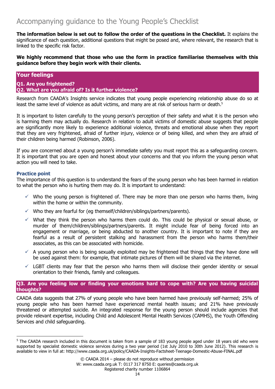<span id="page-13-0"></span>**The information below is set out to follow the order of the questions in the Checklist.** It explains the significance of each question, additional questions that might be posed and, where relevant, the research that is linked to the specific risk factor.

**We highly recommend that those who use the form in practice familiarise themselves with this guidance before they begin work with their clients.**

## **Your feelings**

**Q1. Are you frightened? Q2. What are you afraid of? Is it further violence?**

Research from CAADA's Insights service indicates that young people experiencing relationship abuse do so at least the same level of violence as adult victims, and many are at risk of serious harm or death.<sup>5</sup>

It is important to listen carefully to the young person's perception of their safety and what it is the person who is harming them may actually do. Research in relation to adult victims of domestic abuse suggests that people are significantly more likely to experience additional violence, threats and emotional abuse when they report that they are very frightened, afraid of further injury, violence or of being killed, and when they are afraid of their children being harmed (Robinson, 2006).

If you are concerned about a young person's immediate safety you must report this as a safeguarding concern. It is important that you are open and honest about your concerns and that you inform the young person what action you will need to take.

## **Practice point**

The importance of this question is to understand the fears of the young person who has been harmed in relation to what the person who is hurting them may do. It is important to understand:

- $\checkmark$  Who the young person is frightened of. There may be more than one person who harms them, living within the home or within the community.
- $\checkmark$  Who they are fearful for (eg themself/children/siblings/partners/parents).
- $\checkmark$  What they think the person who harms them could do. This could be physical or sexual abuse, or murder of them/children/siblings/partners/parents. It might include fear of being forced into an engagement or marriage, or being abducted to another country. It is important to note if they are fearful as a result of persistent stalking and harassment from the person who harms them/their associates, as this can be associated with homicide.
- $\checkmark$  A young person who is being sexually exploited may be frightened that things that they have done will be used against them: for example, that intimate pictures of them will be shared via the internet.
- $\checkmark$  LGBT clients may fear that the person who harms them will disclose their gender identity or sexual orientation to their friends, family and colleagues.

#### **Q3. Are you feeling low or finding your emotions hard to cope with? Are you having suicidal thoughts?**

CAADA data suggests that 27% of young people who have been harmed have previously self-harmed; 25% of young people who has been harmed have experienced mental health issues; and 21% have previously threatened or attempted suicide. An integrated response for the young person should include agencies that provide relevant expertise, including Child and Adolescent Mental Health Services (CAMHS), the Youth Offending Services and child safeguarding.

<sup>&</sup>lt;sup>5</sup> The CAADA research included in this document is taken from a sample of 183 young people aged under 18 years old who were supported by specialist domestic violence services during a two year period (1st July 2010 to 30th June 2012). This research is available to view in full at: http://www.caada.org.uk/policy/CAADA-Insights-Factsheet-Teenage-Domestic-Abuse-FINAL.pdf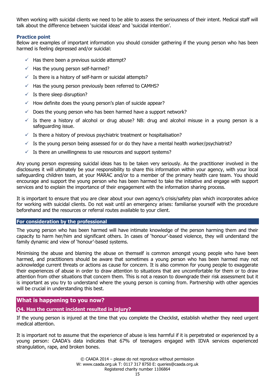When working with suicidal clients we need to be able to assess the seriousness of their intent. Medical staff will talk about the difference between 'suicidal ideas' and 'suicidal intention'.

#### **Practice point**

Below are examples of important information you should consider gathering if the young person who has been harmed is feeling depressed and/or suicidal:

- $\checkmark$  Has there been a previous suicide attempt?
- $\checkmark$  Has the young person self-harmed?
- $\checkmark$  Is there is a history of self-harm or suicidal attempts?
- $\checkmark$  Has the young person previously been referred to CAMHS?
- $\checkmark$  Is there sleep disruption?
- $\checkmark$  How definite does the young person's plan of suicide appear?
- $\checkmark$  Does the young person who has been harmed have a support network?
- $\checkmark$  Is there a history of alcohol or drug abuse? NB: drug and alcohol misuse in a young person is a safeguarding issue.
- $\checkmark$  Is there a history of previous psychiatric treatment or hospitalisation?
- $\checkmark$  Is the young person being assessed for or do they have a mental health worker/psychiatrist?
- $\checkmark$  Is there an unwillingness to use resources and support systems?

Any young person expressing suicidal ideas has to be taken very seriously. As the practitioner involved in the disclosures it will ultimately be your responsibility to share this information within your agency, with your local safeguarding children team, at your MARAC and/or to a member of the primary health care team. You should encourage and support the young person who has been harmed to take the initiative and engage with support services and to explain the importance of their engagement with the information sharing process.

It is important to ensure that you are clear about your own agency's crisis/safety plan which incorporates advice for working with suicidal clients. Do not wait until an emergency arises: familiarise yourself with the procedure beforehand and the resources or referral routes available to your client.

#### **For consideration by the professional**

The young person who has been harmed will have intimate knowledge of the person harming them and their capacity to harm her/him and significant others. In cases of 'honour'-based violence, they will understand the family dynamic and view of 'honour'-based systems.

Minimising the abuse and blaming the abuse on themself is common amongst young people who have been harmed, and practitioners should be aware that sometimes a young person who has been harmed may not acknowledge current threats or actions as cause for concern. It is also common for young people to exaggerate their experiences of abuse in order to draw attention to situations that are uncomfortable for them or to draw attention from other situations that concern them. This is not a reason to downgrade their risk assessment but it is important as you try to understand where the young person is coming from. Partnership with other agencies will be crucial in understanding this best.

## **What is happening to you now?**

## **Q4. Has the current incident resulted in injury?**

If the young person is injured at the time that you complete the Checklist, establish whether they need urgent medical attention.

It is important not to assume that the experience of abuse is less harmful if it is perpetrated or experienced by a young person: CAADA's data indicates that 67% of teenagers engaged with IDVA services experienced strangulation, rape, and broken bones.

> © CAADA 2014 – please do not reproduce without permission W: www.caada.org.uk T: 0117 317 8750 E: queries@caada.org.uk Registered charity number 1106864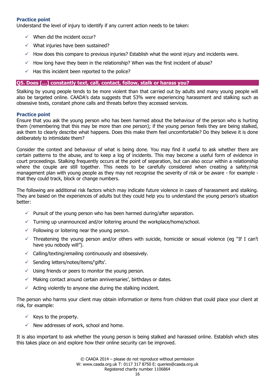#### **Practice point**

Understand the level of injury to identify if any current action needs to be taken:

- $\checkmark$  When did the incident occur?
- $\checkmark$  What injuries have been sustained?
- $\checkmark$  How does this compare to previous injuries? Establish what the worst injury and incidents were.
- $\checkmark$  How long have they been in the relationship? When was the first incident of abuse?
- $\checkmark$  Has this incident been reported to the police?

#### **Q5. Does […] constantly text, call, contact, follow, stalk or harass you?**

Stalking by young people tends to be more violent than that carried out by adults and many young people will also be targeted online. CAADA's data suggests that 53% were experiencing harassment and stalking such as obsessive texts, constant phone calls and threats before they accessed services.

#### **Practice point**

Ensure that you ask the young person who has been harmed about the behaviour of the person who is hurting them (remembering that this may be more than one person); if the young person feels they are being stalked, ask them to clearly describe what happens. Does this make them feel uncomfortable? Do they believe it is done deliberately to intimidate them?

Consider the context and behaviour of what is being done. You may find it useful to ask whether there are certain patterns to the abuse, and to keep a log of incidents. This may become a useful form of evidence in court proceedings. Stalking frequently occurs at the point of separation, but can also occur within a relationship where the couple are still together. This needs to be carefully considered when creating a safety/risk management plan with young people as they may not recognise the severity of risk or be aware - for example that they could track, block or change numbers.

The following are additional risk factors which may indicate future violence in cases of harassment and stalking. They are based on the experiences of adults but they could help you to understand the young person's situation better:

- $\checkmark$  Pursuit of the young person who has been harmed during/after separation.
- $\checkmark$  Turning up unannounced and/or loitering around the workplace/home/school.
- $\checkmark$  Following or loitering near the young person.
- $\checkmark$  Threatening the young person and/or others with suicide, homicide or sexual violence (eg "If I can't have you nobody will").
- $\checkmark$  Calling/texting/emailing continuously and obsessively.
- $\checkmark$  Sending letters/notes/items/'gifts'.
- $\checkmark$  Using friends or peers to monitor the young person.
- $\checkmark$  Making contact around certain anniversaries', birthdays or dates.
- $\checkmark$  Acting violently to anyone else during the stalking incident.

The person who harms your client may obtain information or items from children that could place your client at risk, for example:

- $\checkmark$  Keys to the property.
- $\checkmark$  New addresses of work, school and home.

It is also important to ask whether the young person is being stalked and harassed online. Establish which sites this takes place on and explore how their online security can be improved.

> © CAADA 2014 – please do not reproduce without permission W: www.caada.org.uk T: 0117 317 8750 E: queries@caada.org.uk Registered charity number 1106864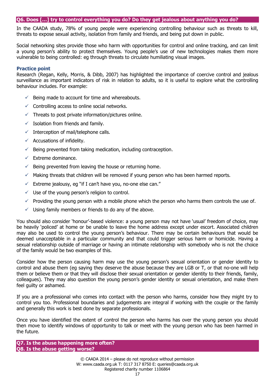#### **Q6. Does […] try to control everything you do? Do they get jealous about anything you do?**

In the CAADA study, 78% of young people were experiencing controlling behaviour such as threats to kill, threats to expose sexual activity, isolation from family and friends, and being put down in public.

Social networking sites provide those who harm with opportunities for control and online tracking, and can limit a young person's ability to protect themselves. Young people's use of new technologies makes them more vulnerable to being controlled: eg through threats to circulate humiliating visual images.

#### **Practice point**

Research (Regan, Kelly, Morris, & Dibb, 2007) has highlighted the importance of coercive control and jealous surveillance as important indicators of risk in relation to adults, so it is useful to explore what the controlling behaviour includes. For example:

- $\checkmark$  Being made to account for time and whereabouts.
- $\checkmark$  Controlling access to online social networks.
- $\checkmark$  Threats to post private information/pictures online.
- $\checkmark$  Isolation from friends and family.
- $\checkmark$  Interception of mail/telephone calls.
- $\checkmark$  Accusations of infidelity.
- $\checkmark$  Being prevented from taking medication, including contraception.
- $\checkmark$  Extreme dominance.
- $\checkmark$  Being prevented from leaving the house or returning home.
- $\checkmark$  Making threats that children will be removed if young person who has been harmed reports.
- $\checkmark$  Extreme jealousy, eg "if I can't have you, no-one else can."
- $\checkmark$  Use of the young person's religion to control.
- $\checkmark$  Providing the young person with a mobile phone which the person who harms them controls the use of.
- Using family members or friends to do any of the above.

You should also consider 'honour'-based violence: a young person may not have 'usual' freedom of choice, may be heavily 'policed' at home or be unable to leave the home address except under escort. Associated children may also be used to control the young person's behaviour. There may be certain behaviours that would be deemed unacceptable in a particular community and that could trigger serious harm or homicide. Having a sexual relationship outside of marriage or having an intimate relationship with somebody who is not the choice of the family would be two examples of this.

Consider how the person causing harm may use the young person's sexual orientation or gender identity to control and abuse them (eg saying they deserve the abuse because they are LGB or T, or that no-one will help them or believe them or that they will disclose their sexual orientation or gender identity to their friends, family, colleagues). They may also question the young person's gender identity or sexual orientation, and make them feel guilty or ashamed.

If you are a professional who comes into contact with the person who harms, consider how they might try to control you too. Professional boundaries and judgements are integral if working with the couple or the family and generally this work is best done by separate professionals.

Once you have identified the extent of control the person who harms has over the young person you should then move to identify windows of opportunity to talk or meet with the young person who has been harmed in the future.

**Q7. Is the abuse happening more often? Q8. Is the abuse getting worse?**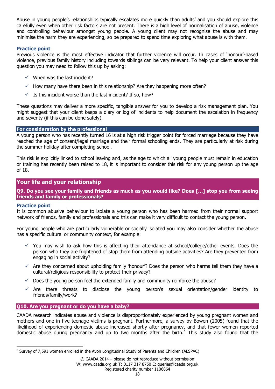Abuse in young people's relationships typically escalates more quickly than adults' and you should explore this carefully even when other risk factors are not present. There is a high level of normalisation of abuse, violence and controlling behaviour amongst young people. A young client may not recognise the abuse and may minimise the harm they are experiencing, so be prepared to spend time exploring what abuse is with them.

## **Practice point**

Previous violence is the most effective indicator that further violence will occur. In cases of 'honour'-based violence, previous family history including towards siblings can be very relevant. To help your client answer this question you may need to follow this up by asking:

- $\checkmark$  When was the last incident?
- $\checkmark$  How many have there been in this relationship? Are they happening more often?
- $\checkmark$  Is this incident worse than the last incident? If so, how?

These questions may deliver a more specific, tangible answer for you to develop a risk management plan. You might suggest that your client keeps a diary or log of incidents to help document the escalation in frequency and severity (if this can be done safely).

#### **For consideration by the professional**

A young person who has recently turned 16 is at a high risk trigger point for forced marriage because they have reached the age of consent/legal marriage and their formal schooling ends. They are particularly at risk during the summer holiday after completing school.

This risk is explicitly linked to school leaving and, as the age to which all young people must remain in education or training has recently been raised to 18, it is important to consider this risk for any young person up the age of 18.

## **Your life and your relationship**

**Q9. Do you see your family and friends as much as you would like? Does […] stop you from seeing friends and family or professionals?** 

## **Practice point**

It is common abusive behaviour to isolate a young person who has been harmed from their normal support network of friends, family and professionals and this can make it very difficult to contact the young person.

For young people who are particularly vulnerable or socially isolated you may also consider whether the abuse has a specific cultural or community context, for example:

- $\checkmark$  You may wish to ask how this is affecting their attendance at school/college/other events. Does the person who they are frightened of stop them from attending outside activities? Are they prevented from engaging in social activity?
- $\checkmark$  Are they concerned about upholding family 'honour'? Does the person who harms tell them they have a cultural/religious responsibility to protect their privacy?
- $\checkmark$  Does the young person feel the extended family and community reinforce the abuse?
- $\checkmark$  Are there threats to disclose the young person's sexual orientation/gender identity to friends/family/work?

## **Q10. Are you pregnant or do you have a baby?**

CAADA research indicates abuse and violence is disproportionately experienced by young pregnant women and mothers and one in five teenage victims is pregnant. Furthermore, a survey by Bowen (2005) found that the likelihood of experiencing domestic abuse increased shortly after pregnancy, and that fewer women reported domestic abuse during pregnancy and up to two months after the birth.<sup>6</sup> This study also found that the

<sup>&</sup>lt;sup>6</sup> Survey of 7,591 women enrolled in the Avon Longitudinal Study of Parents and Children (ALSPAC)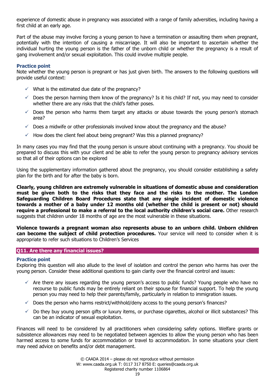experience of domestic abuse in pregnancy was associated with a range of family adversities, including having a first child at an early age.

Part of the abuse may involve forcing a young person to have a termination or assaulting them when pregnant, potentially with the intention of causing a miscarriage. It will also be important to ascertain whether the individual hurting the young person is the father of the unborn child or whether the pregnancy is a result of gang involvement and/or sexual exploitation. This could involve multiple people.

#### **Practice point**

Note whether the young person is pregnant or has just given birth. The answers to the following questions will provide useful context:

- $\checkmark$  What is the estimated due date of the pregnancy?
- $\checkmark$  Does the person harming them know of the pregnancy? Is it his child? If not, you may need to consider whether there are any risks that the child's father poses.
- $\checkmark$  Does the person who harms them target any attacks or abuse towards the young person's stomach area?
- $\checkmark$  Does a midwife or other professionals involved know about the pregnancy and the abuse?
- $\checkmark$  How does the client feel about being pregnant? Was this a planned pregnancy?

In many cases you may find that the young person is unsure about continuing with a pregnancy. You should be prepared to discuss this with your client and be able to refer the young person to pregnancy advisory services so that all of their options can be explored

Using the supplementary information gathered about the pregnancy, you should consider establishing a safety plan for the birth and for after the baby is born.

**Clearly, young children are extremely vulnerable in situations of domestic abuse and consideration must be given both to the risks that they face and the risks to the mother. The London Safeguarding Children Board Procedures state that any single incident of domestic violence towards a mother of a baby under 12 months old (whether the child is present or not) should require a professional to make a referral to the local authority children's social care.** Other research suggests that children under 18 months of age are the most vulnerable in these situations.

**Violence towards a pregnant woman also represents abuse to an unborn child. Unborn children can become the subject of child protection procedures.** Your service will need to consider when it is appropriate to refer such situations to Children's Services

## **Q11. Are there any financial issues?**

#### **Practice point**

Exploring this question will also allude to the level of isolation and control the person who harms has over the young person. Consider these additional questions to gain clarity over the financial control and issues:

- $\checkmark$  Are there any issues regarding the young person's access to public funds? Young people who have no recourse to public funds may be entirely reliant on their spouse for financial support. To help the young person you may need to help their parents/family, particularly in relation to immigration issues.
- $\checkmark$  Does the person who harms restrict/withhold/deny access to the young person's finances?
- $\checkmark$  Do they buy young person gifts or luxury items, or purchase cigarettes, alcohol or illicit substances? This can be an indicator of sexual exploitation.

Finances will need to be considered by all practitioners when considering safety options. Welfare grants or subsistence allowances may need to be negotiated between agencies to allow the young person who has been harmed access to some funds for accommodation or travel to accommodation. In some situations your client may need advice on benefits and/or debt management.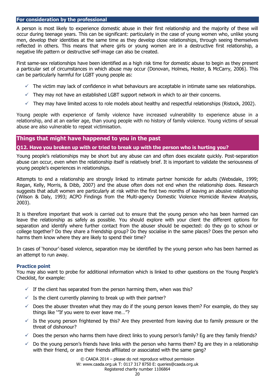#### **For consideration by the professional**

A person is most likely to experience domestic abuse in their first relationship and the majority of these will occur during teenage years. This can be significant: particularly in the case of young women who, unlike young men, develop their identities at the same time as they develop close relationships, through seeing themselves reflected in others. This means that where girls or young women are in a destructive first relationship, a negative life pattern or destructive self-image can also be created.

First same-sex relationships have been identified as a high risk time for domestic abuse to begin as they present a particular set of circumstances in which abuse may occur (Donovan, Holmes, Hester, & McCarry, 2006). This can be particularly harmful for LGBT young people as:

- $\checkmark$  The victim may lack of confidence in what behaviours are acceptable in intimate same sex relationships.
- $\checkmark$  They may not have an established LGBT support network in which to air their concerns.
- $\checkmark$  They may have limited access to role models about healthy and respectful relationships (Ristock, 2002).

Young people with experience of family violence have increased vulnerability to experience abuse in a relationship, and at an earlier age, than young people with no history of family violence. Young victims of sexual abuse are also vulnerable to repeat victimisation.

## **Things that might have happened to you in the past**

## **Q12. Have you broken up with or tried to break up with the person who is hurting you?**

Young people's relationships may be short but any abuse can and often does escalate quickly. Post-separation abuse can occur, even when the relationship itself is relatively brief. It is important to validate the seriousness of young people's experiences in relationships.

Attempts to end a relationship are strongly linked to intimate partner homicide for adults (Websdale, 1999; Regan, Kelly, Morris, & Dibb, 2007) and the abuse often does not end when the relationship does. Research suggests that adult women are particularly at risk within the first two months of leaving an abusive relationship (Wilson & Daly, 1993; ACPO Findings from the Multi-agency Domestic Violence Homicide Review Analysis, 2003).

It is therefore important that work is carried out to ensure that the young person who has been harmed can leave the relationship as safely as possible. You should explore with your client the different options for separation and identify where further contact from the abuser should be expected: do they go to school or college together? Do they share a friendship group? Do they socialise in the same places? Does the person who harms them know where they are likely to spend their time?

In cases of 'honour'-based violence, separation may be identified by the young person who has been harmed as an attempt to run away.

#### **Practice point**

You may also want to probe for additional information which is linked to other questions on the Young People's Checklist, for example:

- $\checkmark$  If the client has separated from the person harming them, when was this?
- $\checkmark$  Is the client currently planning to break up with their partner?
- $\checkmark$  Does the abuser threaten what they may do if the young person leaves them? For example, do they say things like '"If you were to ever leave me…"?
- $\checkmark$  Is the young person frightened by this? Are they prevented from leaving due to family pressure or the threat of dishonour?
- $\checkmark$  Does the person who harms them have direct links to young person's family? Eg are they family friends?
- $\checkmark$  Do the young person's friends have links with the person who harms them? Eg are they in a relationship with their friend, or are their friends affiliated or associated with the same gang?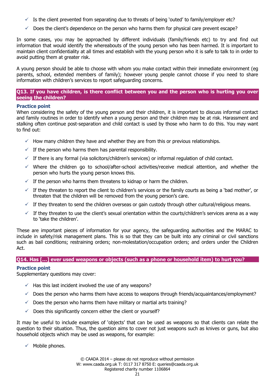- $\checkmark$  Is the client prevented from separating due to threats of being 'outed' to family/employer etc?
- $\checkmark$  Does the client's dependence on the person who harms them for physical care prevent escape?

In some cases, you may be approached by different individuals (family/friends etc) to try and find out information that would identify the whereabouts of the young person who has been harmed. It is important to maintain client confidentiality at all times and establish with the young person who it is safe to talk to in order to avoid putting them at greater risk.

A young person should be able to choose with whom you make contact within their immediate environment (eg parents, school, extended members of family); however young people cannot choose if you need to share information with children's services to report safeguarding concerns.

## **Q13. If you have children, is there conflict between you and the person who is hurting you over seeing the children?**

## **Practice point**

When considering the safety of the young person and their children, it is important to discuss informal contact and family routines in order to identify when a young person and their children may be at risk. Harassment and stalking often continue post-separation and child contact is used by those who harm to do this. You may want to find out:

- $\checkmark$  How many children they have and whether they are from this or previous relationships.
- $\checkmark$  If the person who harms them has parental responsibility.
- $\checkmark$  If there is any formal (via solicitors/children's services) or informal regulation of child contact.
- $\checkmark$  Where the children go to school/after-school activities/receive medical attention, and whether the person who hurts the young person knows this.
- $\checkmark$  If the person who harms them threatens to kidnap or harm the children.
- $\checkmark$  If they threaten to report the client to children's services or the family courts as being a 'bad mother', or threaten that the children will be removed from the young person's care.
- $\checkmark$  If they threaten to send the children overseas or gain custody through other cultural/religious means.
- $\checkmark$  If they threaten to use the client's sexual orientation within the courts/children's services arena as a way to 'take the children'.

These are important pieces of information for your agency, the safeguarding authorities and the MARAC to include in safety/risk management plans. This is so that they can be built into any criminal or civil sanctions such as bail conditions; restraining orders; non-molestation/occupation orders; and orders under the Children Act.

#### **Q14. Has […] ever used weapons or objects (such as a phone or household item) to hurt you?**

## **Practice point**

Supplementary questions may cover:

- $\checkmark$  Has this last incident involved the use of any weapons?
- $\checkmark$  Does the person who harms them have access to weapons through friends/acquaintances/employment?
- $\checkmark$  Does the person who harms them have military or martial arts training?
- $\checkmark$  Does this significantly concern either the client or yourself?

It may be useful to include examples of 'objects' that can be used as weapons so that clients can relate the question to their situation. Thus, the question aims to cover not just weapons such as knives or guns, but also household objects which may be used as weapons, for example:

 $\checkmark$  Mobile phones.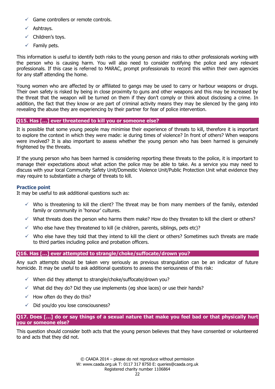- $\checkmark$  Game controllers or remote controls.
- $\checkmark$  Ashtravs.
- $\checkmark$  Children's toys.
- $\checkmark$  Family pets.

This information is useful to identify both risks to the young person and risks to other professionals working with the person who is causing harm. You will also need to consider notifying the police and any relevant professionals. If this case is referred to MARAC, prompt professionals to record this within their own agencies for any staff attending the home.

Young women who are affected by or affiliated to gangs may be used to carry or harbour weapons or drugs. Their own safety is risked by being in close proximity to guns and other weapons and this may be increased by the threat that the weapon will be turned on them if they don't comply or think about disclosing a crime. In addition, the fact that they know or are part of criminal activity means they may be silenced by the gang into revealing the abuse they are experiencing by their partner for fear of police intervention.

#### **Q15. Has […] ever threatened to kill you or someone else?**

It is possible that some young people may minimise their experience of threats to kill, therefore it is important to explore the context in which they were made: ie during times of violence? In front of others? When weapons were involved? It is also important to assess whether the young person who has been harmed is genuinely frightened by the threats.

If the young person who has been harmed is considering reporting these threats to the police, it is important to manage their expectations about what action the police may be able to take. As a service you may need to discuss with your local Community Safety Unit/Domestic Violence Unit/Public Protection Unit what evidence they may require to substantiate a charge of threats to kill.

#### **Practice point**

It may be useful to ask additional questions such as:

- $\checkmark$  Who is threatening to kill the client? The threat may be from many members of the family, extended family or community in 'honour' cultures.
- $\checkmark$  What threats does the person who harms them make? How do they threaten to kill the client or others?
- $\checkmark$  Who else have they threatened to kill (ie children, parents, siblings, pets etc)?
- $\checkmark$  Who else have they told that they intend to kill the client or others? Sometimes such threats are made to third parties including police and probation officers.

## **Q16. Has […] ever attempted to strangle/choke/suffocate/drown you?**

Any such attempts should be taken very seriously as previous strangulation can be an indicator of future homicide. It may be useful to ask additional questions to assess the seriousness of this risk:

- $\checkmark$  When did they attempt to strangle/choke/suffocate/drown you?
- $\checkmark$  What did they do? Did they use implements (eg shoe laces) or use their hands?
- $\checkmark$  How often do they do this?
- $\checkmark$  Did you/do you lose consciousness?

#### **Q17. Does […] do or say things of a sexual nature that make you feel bad or that physically hurt you or someone else?**

This question should consider both acts that the young person believes that they have consented or volunteered to and acts that they did not.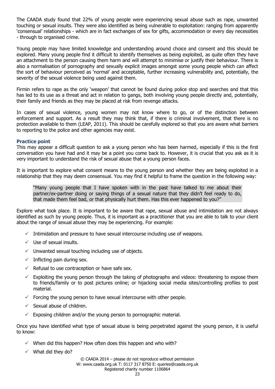The CAADA study found that 22% of young people were experiencing sexual abuse such as rape, unwanted touching or sexual insults. They were also identified as being vulnerable to exploitation: ranging from apparently 'consensual' relationships - which are in fact exchanges of sex for gifts, accommodation or every day necessities - through to organised crime.

Young people may have limited knowledge and understanding around choice and consent and this should be explored. Many young people find it difficult to identify themselves as being exploited, as quite often they have an attachment to the person causing them harm and will attempt to minimise or justify their behaviour. There is also a normalisation of pornography and sexually explicit images amongst some young people which can affect the sort of behaviour perceived as 'normal' and acceptable, further increasing vulnerability and, potentially, the severity of the sexual violence being used against them.

Firmin refers to rape as the only 'weapon' that cannot be found during police stop and searches and that this has led to its use as a threat and act in relation to gangs, both involving young people directly and, potentially, their family and friends as they may be placed at risk from revenge attacks.

In cases of sexual violence, young women may not know where to go, or of the distinction between enforcement and support. As a result they may think that, if there is criminal involvement, that there is no protection available to them (LEAP, 2011). This should be carefully explored so that you are aware what barriers to reporting to the police and other agencies may exist.

#### **Practice point**

This may appear a difficult question to ask a young person who has been harmed, especially if this is the first conversation you have had and it may be a point you come back to. However, it is crucial that you ask as it is very important to understand the risk of sexual abuse that a young person faces.

It is important to explore what consent means to the young person and whether they are being exploited in a relationship that they may deem consensual. You may find it helpful to frame the question in the following way:

"Many young people that I have spoken with in the past have talked to me about their partner/ex-partner doing or saying things of a sexual nature that they didn't feel ready to do, that made them feel bad, or that physically hurt them. Has this ever happened to you?"

Explore what took place. It is important to be aware that rape, sexual abuse and intimidation are not always identified as such by young people. Thus, it is important as a practitioner that you are able to talk to your client about the range of sexual abuse they may be experiencing. For example:

- $\checkmark$  Intimidation and pressure to have sexual intercourse including use of weapons.
- $\checkmark$  Use of sexual insults.
- $\checkmark$  Unwanted sexual touching including use of objects.
- $\checkmark$  Inflicting pain during sex.
- $\checkmark$  Refusal to use contraception or have safe sex.
- $\checkmark$  Exploiting the young person through the taking of photographs and videos: threatening to expose them to friends/family or to post pictures online; or hijacking social media sites/controlling profiles to post material.
- $\checkmark$  Forcing the young person to have sexual intercourse with other people.
- $\checkmark$  Sexual abuse of children.
- $\checkmark$  Exposing children and/or the young person to pornographic material.

Once you have identified what type of sexual abuse is being perpetrated against the young person, it is useful to know:

- $\checkmark$  When did this happen? How often does this happen and who with?
- $\checkmark$  What did they do?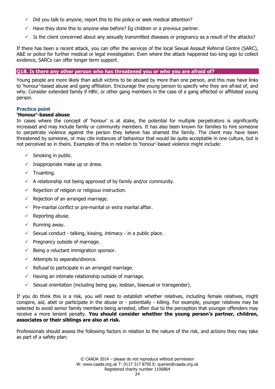- $\checkmark$  Did you talk to anyone, report this to the police or seek medical attention?
- $\checkmark$  Have they done this to anyone else before? Eq children or a previous partner.
- $\checkmark$  Is the client concerned about any sexually transmitted diseases or pregnancy as a result of the attacks?

If there has been a recent attack, you can offer the services of the local Sexual Assault Referral Centre (SARC), A&E or police for further medical or legal investigation. Even where the attack happened too long ago to collect evidence, SARCs can offer longer term support.

#### **Q18. Is there any other person who has threatened you or who you are afraid of?**

Young people are more likely than adult victims to be abused by more than one person, and this may have links to 'honour'-based abuse and gang affiliation. Encourage the young person to specify who they are afraid of, and why. Consider extended family if HBV, or other gang members in the case of a gang affected or affiliated young person.

#### **Practice point**

#### **'Honour'-based abuse**

In cases where the concept of 'honour' is at stake, the potential for multiple perpetrators is significantly increased and may include family or community members. It has also been known for families to hire someone to perpetrate violence against the person they believe has shamed the family. The client may have been threatened by someone, or may cite instances of behaviour that would be quite acceptable in one culture, but is not perceived so in theirs. Examples of this in relation to 'honour'-based violence might include:

- $\checkmark$  Smoking in public.
- $\checkmark$  Inappropriate make up or dress.
- $\checkmark$  Truanting.
- $\checkmark$  A relationship not being approved of by family and/or community.
- $\checkmark$  Rejection of religion or religious instruction.
- $\checkmark$  Rejection of an arranged marriage.
- $\checkmark$  Pre-marital conflict or pre-marital or extra marital affair.
- $\checkmark$  Reporting abuse.
- $\checkmark$  Running away.
- $\checkmark$  Sexual conduct talking, kissing, intimacy in a public place.
- $\checkmark$  Pregnancy outside of marriage.
- $\checkmark$  Being a reluctant immigration sponsor.
- $\checkmark$  Attempts to separate/divorce.
- $\checkmark$  Refusal to participate in an arranged marriage.
- $\checkmark$  Having an intimate relationship outside of marriage.
- $\checkmark$  Sexual orientation (including being gay, lesbian, bisexual or transgender).

If you do think this is a risk, you will need to establish whether relatives, including female relatives, might conspire, aid, abet or participate in the abuse or - potentially - killing. For example, younger relatives may be selected to avoid senior family members being arrested, often due to the perception that younger offenders may receive a more lenient penalty. **You should consider whether the young person's partner, children, associates or their siblings are also at risk.**

Professionals should assess the following factors in relation to the nature of the risk, and actions they may take as part of a safety plan: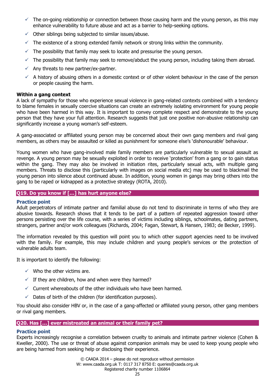- $\checkmark$  The on-going relationship or connection between those causing harm and the young person, as this may enhance vulnerability to future abuse and act as a barrier to help-seeking options.
- $\checkmark$  Other siblings being subjected to similar issues/abuse.
- $\checkmark$  The existence of a strong extended family network or strong links within the community.
- $\checkmark$  The possibility that family may seek to locate and pressurise the young person.
- $\checkmark$  The possibility that family may seek to remove/abduct the young person, including taking them abroad.
- $\checkmark$  Any threats to new partner/ex-partner.
- $\checkmark$  A history of abusing others in a domestic context or of other violent behaviour in the case of the person or people causing the harm.

#### **Within a gang context**

A lack of sympathy for those who experience sexual violence in gang-related contexts combined with a tendency to blame females in sexually coercive situations can create an extremely isolating environment for young people who have been harmed in this way. It is important to convey complete respect and demonstrate to the young person that they have your full attention. Research suggests that just one positive non-abusive relationship can significantly increase a young woman's self-esteem.

A gang-associated or affiliated young person may be concerned about their own gang members and rival gang members, as others may be assaulted or killed as punishment for someone else's 'dishonourable' behaviour.

Young women who have gang-involved male family members are particularly vulnerable to sexual assault as revenge. A young person may be sexually exploited in order to receive 'protection' from a gang or to gain status within the gang. They may also be involved in initiation rites, particularly sexual acts, with multiple gang members. Threats to disclose this (particularly with images on social media etc) may be used to blackmail the young person into silence about continued abuse. In addition, young women in gangs may bring others into the gang to be raped or kidnapped as a protective strategy (ROTA, 2010).

## **Q19. Do you know if […] has hurt anyone else?**

#### **Practice point**

Adult perpetrators of intimate partner and familial abuse do not tend to discriminate in terms of who they are abusive towards. Research shows that it tends to be part of a pattern of repeated aggression toward other persons persisting over the life course, with a series of victims including siblings, schoolmates, dating partners, strangers, partner and/or work colleagues (Richards, 2004; Fagan, Stewart, & Hansen, 1983; de Becker, 1999).

The information revealed by this question will point you to which other support agencies need to be involved with the family. For example, this may include children and young people's services or the protection of vulnerable adults team.

It is important to identify the following:

- $\checkmark$  Who the other victims are.
- $\checkmark$  If they are children, how and when were they harmed?
- $\checkmark$  Current whereabouts of the other individuals who have been harmed.
- $\checkmark$  Dates of birth of the children (for identification purposes).

You should also consider HBV or, in the case of a gang-affected or affiliated young person, other gang members or rival gang members.

#### **Q20. Has […] ever mistreated an animal or their family pet?**

## **Practice point**

Experts increasingly recognise a correlation between cruelty to animals and intimate partner violence (Cohen & Kweller, 2000). The use or threat of abuse against companion animals may be used to keep young people who are being harmed from seeking help or disclosing their experience.

> © CAADA 2014 – please do not reproduce without permission W: www.caada.org.uk T: 0117 317 8750 E: queries@caada.org.uk Registered charity number 1106864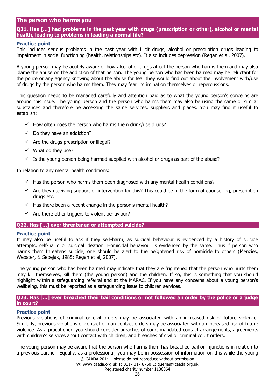## **The person who harms you**

## **Q21. Has […] had problems in the past year with drugs (prescription or other), alcohol or mental health, leading to problems in leading a normal life?**

#### **Practice point**

This includes serious problems in the past year with illicit drugs, alcohol or prescription drugs leading to impairment in social functioning (health, relationships etc). It also includes depression (Regan et al, 2007).

A young person may be acutely aware of how alcohol or drugs affect the person who harms them and may also blame the abuse on the addiction of that person. The young person who has been harmed may be reluctant for the police or any agency knowing about the abuse for fear they would find out about the involvement with/use of drugs by the person who harms them. They may fear incrimination themselves or repercussions.

This question needs to be managed carefully and attention paid as to what the young person's concerns are around this issue. The young person and the person who harms them may also be using the same or similar substances and therefore be accessing the same services, suppliers and places. You may find it useful to establish:

- $\checkmark$  How often does the person who harms them drink/use drugs?
- $\checkmark$  Do they have an addiction?
- $\checkmark$  Are the drugs prescription or illegal?
- $\checkmark$  What do they use?
- $\checkmark$  Is the young person being harmed supplied with alcohol or drugs as part of the abuse?

In relation to any mental health conditions:

- $\checkmark$  Has the person who harms them been diagnosed with any mental health conditions?
- $\checkmark$  Are they receiving support or intervention for this? This could be in the form of counselling, prescription drugs etc.
- $\checkmark$  Has there been a recent change in the person's mental health?
- $\checkmark$  Are there other triggers to violent behaviour?

#### **Q22. Has […] ever threatened or attempted suicide?**

#### **Practice point**

It may also be useful to ask if they self-harm, as suicidal behaviour is evidenced by a history of suicide attempts, self-harm or suicidal ideation. Homicidal behaviour is evidenced by the same. Thus if person who harms them threatens suicide, one should be alert to the heightened risk of homicide to others (Menzies, Webster, & Sepejak, 1985; Regan et al, 2007).

The young person who has been harmed may indicate that they are frightened that the person who hurts them may kill themselves, kill them (the young person) and the children. If so, this is something that you should highlight within a safeguarding referral and at the MARAC. If you have any concerns about a young person's wellbeing, this must be reported as a safeguarding issue to children services.

#### **Q23. Has […] ever breached their bail conditions or not followed an order by the police or a judge in court?**

#### **Practice point**

Previous violations of criminal or civil orders may be associated with an increased risk of future violence. Similarly, previous violations of contact or non-contact orders may be associated with an increased risk of future violence. As a practitioner, you should consider breaches of court-mandated contact arrangements, agreements with children's services about contact with children, and breaches of civil or criminal court orders.

The young person may be aware that the person who harms them has breached bail or injunctions in relation to a previous partner. Equally, as a professional, you may be in possession of information on this while the young

© CAADA 2014 – please do not reproduce without permission

W: www.caada.org.uk T: 0117 317 8750 E: queries@caada.org.uk

## Registered charity number 1106864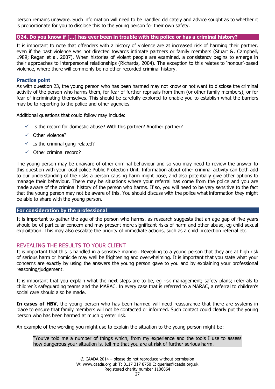person remains unaware. Such information will need to be handled delicately and advice sought as to whether it is proportionate for you to disclose this to the young person for their own safety.

#### **Q24. Do you know if […] has ever been in trouble with the police or has a criminal history?**

It is important to note that offenders with a history of violence are at increased risk of harming their partner, even if the past violence was not directed towards intimate partners or family members (Stuart &, Campbell, 1989; Regan et al, 2007). When histories of violent people are examined, a consistency begins to emerge in their approaches to interpersonal relationships (Richards, 2004). The exception to this relates to 'honour'-based violence, where there will commonly be no other recorded criminal history.

#### **Practice point**

As with question 23, the young person who has been harmed may not know or not want to disclose the criminal activity of the person who harms them, for fear of further reprisals from them (or other family members), or for fear of incriminating themselves. This should be carefully explored to enable you to establish what the barriers may be to reporting to the police and other agencies.

Additional questions that could follow may include:

- $\checkmark$  Is the record for domestic abuse? With this partner? Another partner?
- $\checkmark$  Other violence?
- $\checkmark$  Is the criminal gang-related?
- $\checkmark$  Other criminal record?

The young person may be unaware of other criminal behaviour and so you may need to review the answer to this question with your local police Public Protection Unit. Information about other criminal activity can both add to our understanding of the risks a person causing harm might pose, and also potentially give other options to manage their behaviour. There may be situations where your referral has come from the police and you are made aware of the criminal history of the person who harms. If so, you will need to be very sensitive to the fact that the young person may not be aware of this. You should discuss with the police what information they might be able to share with the young person.

#### **For consideration by the professional**

It is important to gather the age of the person who harms, as research suggests that an age gap of five years should be of particular concern and may present more significant risks of harm and other abuse, eg child sexual exploitation. This may also escalate the priority of immediate actions, such as a child protection referral etc.

## <span id="page-26-0"></span>REVEALING THE RESULTS TO YOUR CLIENT

It is important that this is handled in a sensitive manner. Revealing to a young person that they are at high risk of serious harm or homicide may well be frightening and overwhelming. It is important that you state what your concerns are exactly by using the answers the young person gave to you and by explaining your professional reasoning/judgement.

It is important that you explain what the next steps are to be, eg risk management; safety plans; referrals to children's safeguarding teams and the MARAC. In every case that is referred to a MARAC, a referral to children's social care should also be made.

**In cases of HBV**, the young person who has been harmed will need reassurance that there are systems in place to ensure that family members will not be contacted or informed. Such contact could clearly put the young person who has been harmed at much greater risk.

An example of the wording you might use to explain the situation to the young person might be:

"You've told me a number of things which, from my experience and the tools I use to assess how dangerous your situation is, tell me that you are at risk of further serious harm.